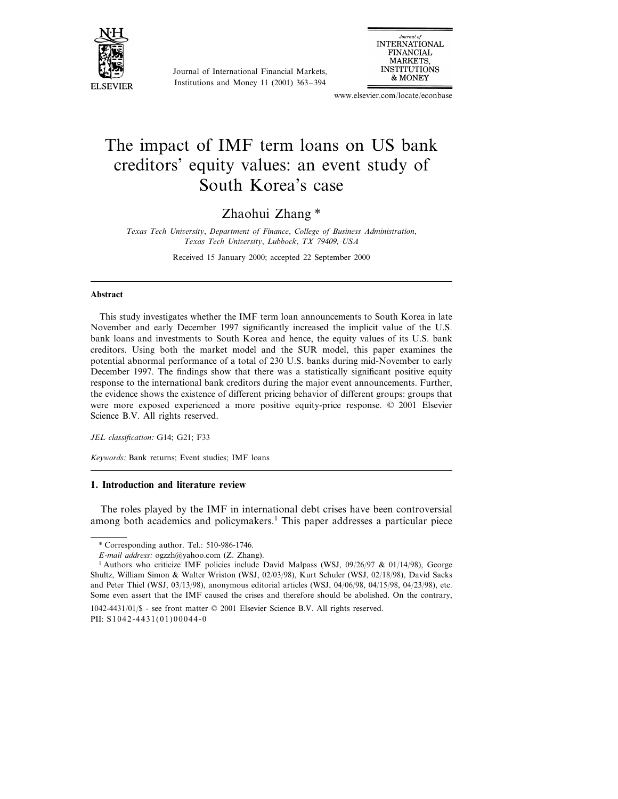

Journal of International Financial Markets, Institutions and Money 11 (2001) 363–394

Journal of **INTERNATIONAL FINANCIAL MARKETS INSTITUTIONS** & MONEY

www.elsevier.com/locate/econbase

# The impact of IMF term loans on US bank creditors' equity values: an event study of South Korea's case

### Zhaohui Zhang \*

*Texas Tech Uniersity*, *Department of Finance*, *College of Business Administration*, *Texas Tech Uniersity*, *Lubbock*, *TX* <sup>79409</sup>, *USA*

Received 15 January 2000; accepted 22 September 2000

#### **Abstract**

This study investigates whether the IMF term loan announcements to South Korea in late November and early December 1997 significantly increased the implicit value of the U.S. bank loans and investments to South Korea and hence, the equity values of its U.S. bank creditors. Using both the market model and the SUR model, this paper examines the potential abnormal performance of a total of 230 U.S. banks during mid-November to early December 1997. The findings show that there was a statistically significant positive equity response to the international bank creditors during the major event announcements. Further, the evidence shows the existence of different pricing behavior of different groups: groups that were more exposed experienced a more positive equity-price response. © 2001 Elsevier Science B.V. All rights reserved.

*JEL classification*: G14; G21; F33

*Keywords*: Bank returns; Event studies; IMF loans

### **1. Introduction and literature review**

The roles played by the IMF in international debt crises have been controversial among both academics and policymakers.<sup>1</sup> This paper addresses a particular piece

1042-4431/01/\$ - see front matter © 2001 Elsevier Science B.V. All rights reserved. PII: S 1 0 4 2 - 4 4 3 1 ( 0 1 ) 0 0 0 4 4 - 0

<sup>\*</sup> Corresponding author. Tel.: 510-986-1746.

*E*-*mail address*: ogzzh@yahoo.com (Z. Zhang).

<sup>&</sup>lt;sup>1</sup> Authors who criticize IMF policies include David Malpass (WSJ, 09/26/97 & 01/14/98), George Shultz, William Simon & Walter Wriston (WSJ, 02/03/98), Kurt Schuler (WSJ, 02/18/98), David Sacks and Peter Thiel (WSJ, 03/13/98), anonymous editorial articles (WSJ, 04/06/98, 04/15/98, 04/23/98), etc. Some even assert that the IMF caused the crises and therefore should be abolished. On the contrary,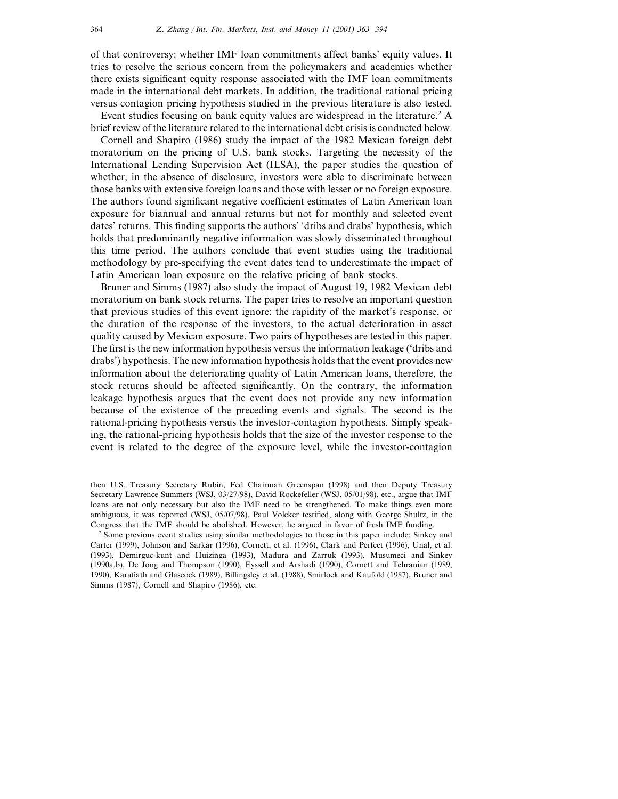of that controversy: whether IMF loan commitments affect banks' equity values. It tries to resolve the serious concern from the policymakers and academics whether there exists significant equity response associated with the IMF loan commitments made in the international debt markets. In addition, the traditional rational pricing versus contagion pricing hypothesis studied in the previous literature is also tested.

Event studies focusing on bank equity values are widespread in the literature.<sup>2</sup> A brief review of the literature related to the international debt crisis is conducted below.

Cornell and Shapiro (1986) study the impact of the 1982 Mexican foreign debt moratorium on the pricing of U.S. bank stocks. Targeting the necessity of the International Lending Supervision Act (ILSA), the paper studies the question of whether, in the absence of disclosure, investors were able to discriminate between those banks with extensive foreign loans and those with lesser or no foreign exposure. The authors found significant negative coefficient estimates of Latin American loan exposure for biannual and annual returns but not for monthly and selected event dates' returns. This finding supports the authors' 'dribs and drabs' hypothesis, which holds that predominantly negative information was slowly disseminated throughout this time period. The authors conclude that event studies using the traditional methodology by pre-specifying the event dates tend to underestimate the impact of Latin American loan exposure on the relative pricing of bank stocks.

Bruner and Simms (1987) also study the impact of August 19, 1982 Mexican debt moratorium on bank stock returns. The paper tries to resolve an important question that previous studies of this event ignore: the rapidity of the market's response, or the duration of the response of the investors, to the actual deterioration in asset quality caused by Mexican exposure. Two pairs of hypotheses are tested in this paper. The first is the new information hypothesis versus the information leakage ('dribs and drabs') hypothesis. The new information hypothesis holds that the event provides new information about the deteriorating quality of Latin American loans, therefore, the stock returns should be affected significantly. On the contrary, the information leakage hypothesis argues that the event does not provide any new information because of the existence of the preceding events and signals. The second is the rational-pricing hypothesis versus the investor-contagion hypothesis. Simply speaking, the rational-pricing hypothesis holds that the size of the investor response to the event is related to the degree of the exposure level, while the investor-contagion

<sup>2</sup> Some previous event studies using similar methodologies to those in this paper include: Sinkey and Carter (1999), Johnson and Sarkar (1996), Cornett, et al. (1996), Clark and Perfect (1996), Unal, et al. (1993), Demirguc-kunt and Huizinga (1993), Madura and Zarruk (1993), Musumeci and Sinkey (1990a,b), De Jong and Thompson (1990), Eyssell and Arshadi (1990), Cornett and Tehranian (1989, 1990), Karafiath and Glascock (1989), Billingsley et al. (1988), Smirlock and Kaufold (1987), Bruner and Simms (1987), Cornell and Shapiro (1986), etc.

then U.S. Treasury Secretary Rubin, Fed Chairman Greenspan (1998) and then Deputy Treasury Secretary Lawrence Summers (WSJ, 03/27/98), David Rockefeller (WSJ, 05/01/98), etc., argue that IMF loans are not only necessary but also the IMF need to be strengthened. To make things even more ambiguous, it was reported (WSJ, 05/07/98), Paul Volcker testified, along with George Shultz, in the Congress that the IMF should be abolished. However, he argued in favor of fresh IMF funding.